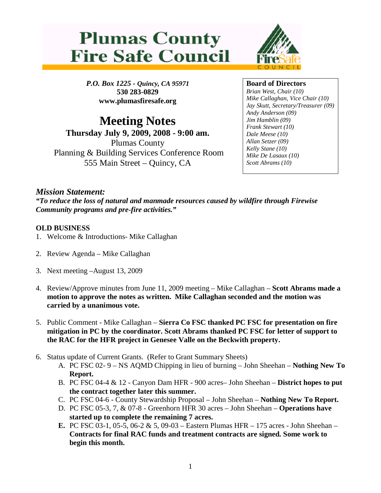## **Plumas County Fire Safe Council**



*P.O. Box 1225 - Quincy, CA 95971* **530 283-0829 www.plumasfiresafe.org**

**Meeting Notes Thursday July 9, 2009, 2008 - 9:00 am.** Plumas County Planning & Building Services Conference Room 555 Main Street – Quincy, CA

**Board of Directors**

*Brian West, Chair (10) Mike Callaghan, Vice Chair (10) Jay Skutt, Secretary/Treasurer (09) Andy Anderson (09) Jim Hamblin (09) Frank Stewart (10) Dale Meese (10) Allan Setzer (09) Kelly Stane (10) Mike De Lasaux (10) Scott Abrams (10)*

## *Mission Statement:*

*"To reduce the loss of natural and manmade resources caused by wildfire through Firewise Community programs and pre-fire activities."*

## **OLD BUSINESS**

- 1. Welcome & Introductions- Mike Callaghan
- 2. Review Agenda Mike Callaghan
- 3. Next meeting –August 13, 2009
- 4. Review/Approve minutes from June 11, 2009 meeting Mike Callaghan **Scott Abrams made a motion to approve the notes as written. Mike Callaghan seconded and the motion was carried by a unanimous vote.**
- 5. Public Comment Mike Callaghan **Sierra Co FSC thanked PC FSC for presentation on fire mitigation in PC by the coordinator. Scott Abrams thanked PC FSC for letter of support to the RAC for the HFR project in Genesee Valle on the Beckwith property.**
- 6. Status update of Current Grants. (Refer to Grant Summary Sheets)
	- A. PC FSC 02- 9 NS AQMD Chipping in lieu of burning John Sheehan **Nothing New To Report.**
	- B. PC FSC 04-4 & 12 Canyon Dam HFR 900 acres– John Sheehan **District hopes to put the contract together later this summer.**
	- C. PC FSC 04-6 County Stewardship Proposal John Sheehan **Nothing New To Report.**
	- D. PC FSC 05-3, 7, & 07-8 Greenhorn HFR 30 acres John Sheehan **Operations have started up to complete the remaining 7 acres.**
	- **E.** PC FSC 03-1, 05-5, 06-2 & 5, 09-03 Eastern Plumas HFR 175 acres John Sheehan **Contracts for final RAC funds and treatment contracts are signed. Some work to begin this month.**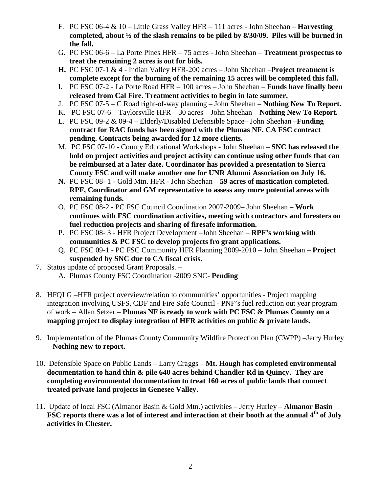- F. PC FSC 06-4 & 10 Little Grass Valley HFR 111 acres John Sheehan **Harvesting completed, about ½ of the slash remains to be piled by 8/30/09. Piles will be burned in the fall.**
- G. PC FSC 06-6 La Porte Pines HFR 75 acres John Sheehan **Treatment prospectus to treat the remaining 2 acres is out for bids.**
- **H.** PC FSC 07-1 & 4 Indian Valley HFR-200 acres John Sheehan –**Project treatment is complete except for the burning of the remaining 15 acres will be completed this fall.**
- I. PC FSC 07-2 La Porte Road HFR 100 acres John Sheehan **Funds have finally been released from Cal Fire. Treatment activities to begin in late summer.**
- J. PC FSC 07-5 C Road right-of-way planning John Sheehan **Nothing New To Report.**
- K. PC FSC 07-6 Taylorsville HFR 30 acres John Sheehan **Nothing New To Report.**
- L. PC FSC 09-2 & 09-4 Elderly/Disabled Defensible Space– John Sheehan –**Funding contract for RAC funds has been signed with the Plumas NF. CA FSC contract pending. Contracts being awarded for 12 more clients.**
- M. PC FSC 07-10 County Educational Workshops John Sheehan **SNC has released the hold on project activities and project activity can continue using other funds that can be reimbursed at a later date. Coordinator has provided a presentation to Sierra County FSC and will make another one for UNR Alumni Association on July 16.**
- **N.** PC FSC 08- 1 Gold Mtn. HFR John Sheehan **59 acres of mastication completed. RPF, Coordinator and GM representative to assess any more potential areas with remaining funds.**
- O. PC FSC 08-2 PC FSC Council Coordination 2007-2009– John Sheehan **Work continues with FSC coordination activities, meeting with contractors and foresters on fuel reduction projects and sharing of firesafe information.**
- P. PC FSC 08- 3 HFR Project Development –John Sheehan **RPF's working with communities & PC FSC to develop projects fro grant applications.**
- Q. PC FSC 09-1 PC FSC Community HFR Planning 2009-2010 John Sheehan **Project suspended by SNC due to CA fiscal crisis.**
- 7. Status update of proposed Grant Proposals.
	- A. Plumas County FSC Coordination -2009 SNC- **Pending**
- 8. HFQLG –HFR project overview/relation to communities' opportunities Project mapping integration involving USFS, CDF and Fire Safe Council - PNF's fuel reduction out year program of work – Allan Setzer – **Plumas NF is ready to work with PC FSC & Plumas County on a mapping project to display integration of HFR activities on public & private lands.**
- 9. Implementation of the Plumas County Community Wildfire Protection Plan (CWPP) –Jerry Hurley – **Nothing new to report.**
- 10. Defensible Space on Public Lands Larry Craggs **Mt. Hough has completed environmental documentation to hand thin & pile 640 acres behind Chandler Rd in Quincy. They are completing environmental documentation to treat 160 acres of public lands that connect treated private land projects in Genesee Valley.**
- 11. Update of local FSC (Almanor Basin & Gold Mtn.) activities Jerry Hurley **Almanor Basin FSC reports there was a lot of interest and interaction at their booth at the annual 4th of July activities in Chester.**